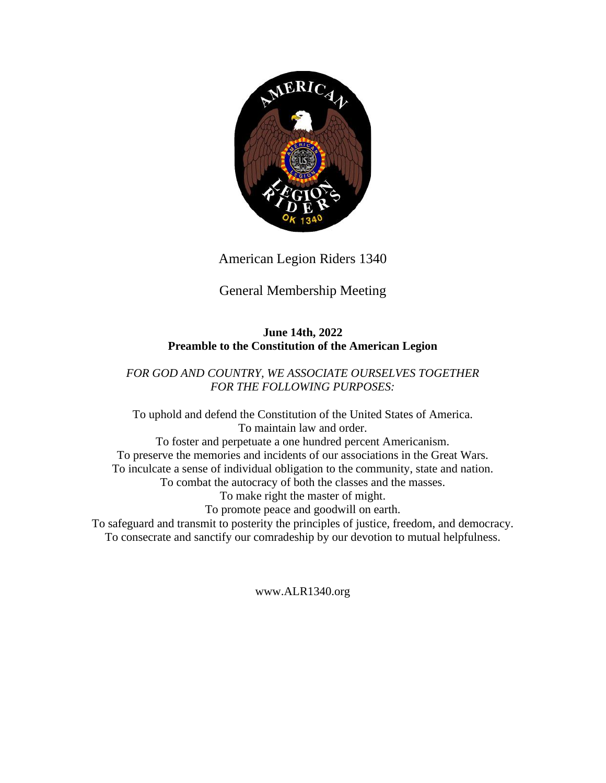

American Legion Riders 1340

# General Membership Meeting

#### **June 14th, 2022 Preamble to the Constitution of the American Legion**

### *FOR GOD AND COUNTRY, WE ASSOCIATE OURSELVES TOGETHER FOR THE FOLLOWING PURPOSES:*

To uphold and defend the Constitution of the United States of America. To maintain law and order. To foster and perpetuate a one hundred percent Americanism. To preserve the memories and incidents of our associations in the Great Wars. To inculcate a sense of individual obligation to the community, state and nation. To combat the autocracy of both the classes and the masses. To make right the master of might. To promote peace and goodwill on earth. To safeguard and transmit to posterity the principles of justice, freedom, and democracy. To consecrate and sanctify our comradeship by our devotion to mutual helpfulness.

www.ALR1340.org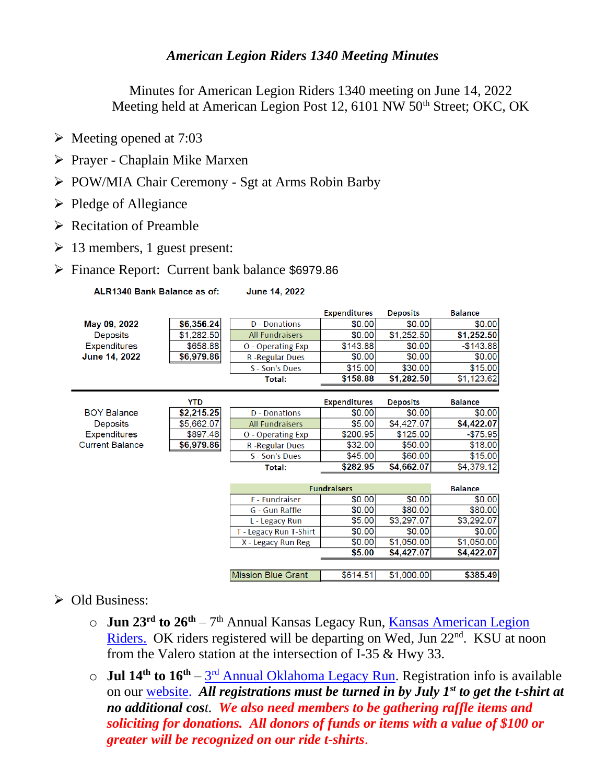## *American Legion Riders 1340 Meeting Minutes*

Minutes for American Legion Riders 1340 meeting on June 14, 2022 Meeting held at American Legion Post 12, 6101 NW 50<sup>th</sup> Street; OKC, OK

- ➢ Meeting opened at 7:03
- ➢ Prayer Chaplain Mike Marxen
- ➢ POW/MIA Chair Ceremony Sgt at Arms Robin Barby
- ➢ Pledge of Allegiance
- ➢ Recitation of Preamble
- $\geq 13$  members, 1 guest present:
- ➢ Finance Report: Current bank balance \$6979.86

ALR1340 Bank Balance as of: **June 14, 2022** 

|                        |            |                           | <b>Expenditures</b> | <b>Deposits</b> | <b>Balance</b> |
|------------------------|------------|---------------------------|---------------------|-----------------|----------------|
| May 09, 2022           | \$6,356.24 | D - Donations             | \$0.00              | \$0.00          | \$0.00         |
| <b>Deposits</b>        | \$1,282.50 | <b>All Fundraisers</b>    | \$0.00              | \$1,252.50      | \$1,252.50     |
| <b>Expenditures</b>    | \$658.88   | O - Operating Exp         | \$143.88            | \$0.00          | $-$143.88$     |
| June 14, 2022          | \$6,979.86 | <b>R-Regular Dues</b>     | \$0.00              | \$0.00          | \$0.00         |
|                        |            | S - Son's Dues            | \$15.00             | \$30.00         | \$15.00        |
|                        |            | Total:                    | \$158.88            | \$1,282.50      | \$1,123.62     |
|                        |            |                           |                     |                 |                |
|                        | <b>YTD</b> |                           | <b>Expenditures</b> | <b>Deposits</b> | <b>Balance</b> |
| <b>BOY Balance</b>     | \$2,215.25 | <b>D</b> - Donations      | \$0.00              | \$0.00          | \$0.00         |
| <b>Deposits</b>        | \$5,662.07 | <b>All Fundraisers</b>    | \$5.00              | \$4,427.07      | \$4,422.07     |
| <b>Expenditures</b>    | \$897.46   | O - Operating Exp         | \$200.95            | \$125.00        | $-$75.95$      |
| <b>Current Balance</b> | \$6,979.86 | R-Regular Dues            | \$32.00             | \$50.00         | \$18.00        |
|                        |            | S - Son's Dues            | \$45.00             | \$60.00         | \$15.00        |
|                        |            | <b>Total:</b>             | \$282.95            | \$4,662.07      | \$4,379.12     |
|                        |            |                           |                     |                 |                |
|                        |            | <b>Fundraisers</b>        |                     | <b>Balance</b>  |                |
|                        |            | <b>F</b> - Fundraiser     | \$0.00              | \$0.00          | \$0.00         |
|                        |            | G - Gun Raffle            | \$0.00              | \$80.00         | \$80.00        |
|                        |            | L - Legacy Run            | \$5.00              | \$3,297.07      | \$3,292.07     |
|                        |            | T - Legacy Run T-Shirt    | \$0.00              | \$0.00          | \$0.00         |
|                        |            | X - Legacy Run Reg        | \$0.00              | \$1,050.00      | \$1,050.00     |
|                        |            |                           | \$5.00              | \$4,427.07      | \$4,422.07     |
|                        |            |                           |                     |                 |                |
|                        |            | <b>Mission Blue Grant</b> | \$614.51            | \$1,000.00      | \$385.49       |

## ➢ Old Business:

- o **Jun 23rd to 26th** 7 th Annual Kansas Legacy Run, [Kansas American Legion](https://kansasalr.com/)  [Riders.](https://kansasalr.com/) OK riders registered will be departing on Wed, Jun 22<sup>nd</sup>. KSU at noon from the Valero station at the intersection of I-35 & Hwy 33.
- o **Jul 14th to 16th** 3 rd [Annual Oklahoma Legacy Run.](http://www.alr1340.org/legacy.htm) Registration info is available on our [website.](http://www.alr1340.org/) *All registrations must be turned in by July 1st to get the t-shirt at no additional cost. We also need members to be gathering raffle items and soliciting for donations. All donors of funds or items with a value of \$100 or greater will be recognized on our ride t-shirts*.